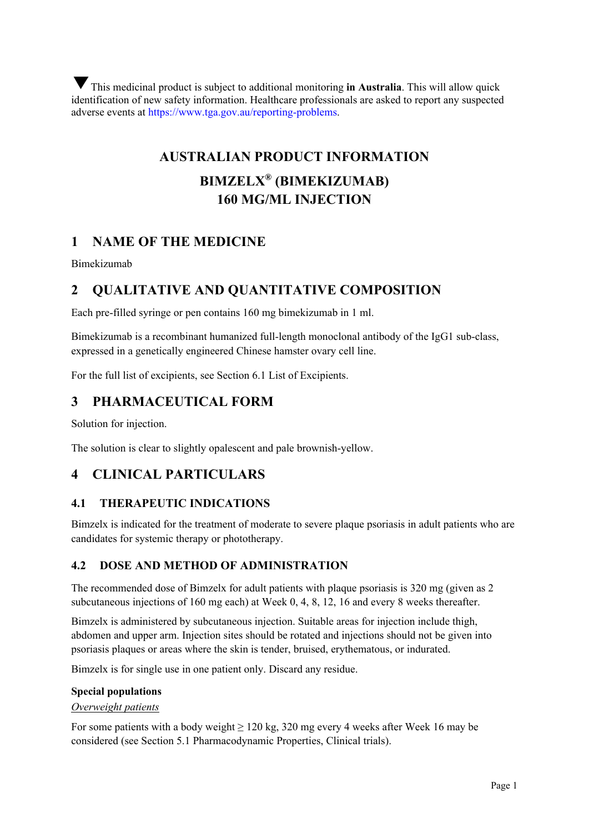This medicinal product is subject to additional monitoring **in Australia**. This will allow quick ▼identification of new safety information. Healthcare professionals are asked to report any suspected adverse events at https://www.tga.gov.au/reporting-problems.

# **AUSTRALIAN PRODUCT INFORMATION**

# **BIMZELX® (BIMEKIZUMAB) 160 MG/ML INJECTION**

# **1 NAME OF THE MEDICINE**

Bimekizumab

# **2 QUALITATIVE AND QUANTITATIVE COMPOSITION**

Each pre-filled syringe or pen contains 160 mg bimekizumab in 1 ml.

Bimekizumab is a recombinant humanized full-length monoclonal antibody of the IgG1 sub-class, expressed in a genetically engineered Chinese hamster ovary cell line.

For the full list of excipients, see Section 6.1 List of Excipients.

# **3 PHARMACEUTICAL FORM**

Solution for injection.

The solution is clear to slightly opalescent and pale brownish-yellow.

# **4 CLINICAL PARTICULARS**

## **4.1 THERAPEUTIC INDICATIONS**

Bimzelx is indicated for the treatment of moderate to severe plaque psoriasis in adult patients who are candidates for systemic therapy or phototherapy.

## **4.2 DOSE AND METHOD OF ADMINISTRATION**

The recommended dose of Bimzelx for adult patients with plaque psoriasis is 320 mg (given as 2 subcutaneous injections of 160 mg each) at Week 0, 4, 8, 12, 16 and every 8 weeks thereafter.

Bimzelx is administered by subcutaneous injection. Suitable areas for injection include thigh, abdomen and upper arm. Injection sites should be rotated and injections should not be given into psoriasis plaques or areas where the skin is tender, bruised, erythematous, or indurated.

Bimzelx is for single use in one patient only. Discard any residue.

#### **Special populations**

#### *Overweight patients*

For some patients with a body weight  $\geq 120$  kg, 320 mg every 4 weeks after Week 16 may be considered (see Section 5.1 Pharmacodynamic Properties, Clinical trials).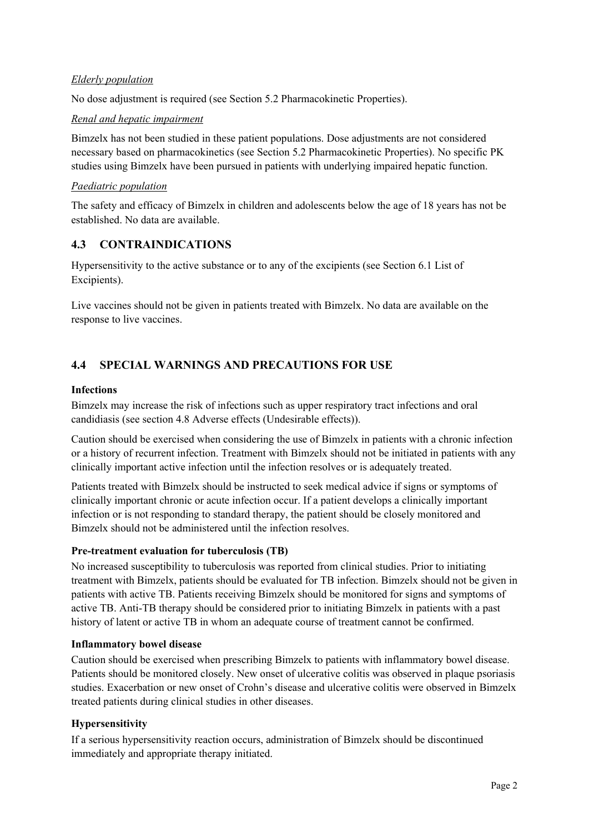## *Elderly population*

No dose adjustment is required (see Section 5.2 Pharmacokinetic Properties).

#### *Renal and hepatic impairment*

Bimzelx has not been studied in these patient populations. Dose adjustments are not considered necessary based on pharmacokinetics (see Section 5.2 Pharmacokinetic Properties). No specific PK studies using Bimzelx have been pursued in patients with underlying impaired hepatic function.

#### *Paediatric population*

The safety and efficacy of Bimzelx in children and adolescents below the age of 18 years has not be established. No data are available.

## **4.3 CONTRAINDICATIONS**

Hypersensitivity to the active substance or to any of the excipients (see Section 6.1 List of Excipients).

Live vaccines should not be given in patients treated with Bimzelx. No data are available on the response to live vaccines.

# **4.4 SPECIAL WARNINGS AND PRECAUTIONS FOR USE**

#### **Infections**

Bimzelx may increase the risk of infections such as upper respiratory tract infections and oral candidiasis (see section 4.8 Adverse effects (Undesirable effects)).

Caution should be exercised when considering the use of Bimzelx in patients with a chronic infection or a history of recurrent infection. Treatment with Bimzelx should not be initiated in patients with any clinically important active infection until the infection resolves or is adequately treated.

Patients treated with Bimzelx should be instructed to seek medical advice if signs or symptoms of clinically important chronic or acute infection occur. If a patient develops a clinically important infection or is not responding to standard therapy, the patient should be closely monitored and Bimzelx should not be administered until the infection resolves.

#### **Pre-treatment evaluation for tuberculosis (TB)**

No increased susceptibility to tuberculosis was reported from clinical studies. Prior to initiating treatment with Bimzelx, patients should be evaluated for TB infection. Bimzelx should not be given in patients with active TB. Patients receiving Bimzelx should be monitored for signs and symptoms of active TB. Anti-TB therapy should be considered prior to initiating Bimzelx in patients with a past history of latent or active TB in whom an adequate course of treatment cannot be confirmed.

#### **Inflammatory bowel disease**

Caution should be exercised when prescribing Bimzelx to patients with inflammatory bowel disease. Patients should be monitored closely. New onset of ulcerative colitis was observed in plaque psoriasis studies. Exacerbation or new onset of Crohn's disease and ulcerative colitis were observed in Bimzelx treated patients during clinical studies in other diseases.

#### **Hypersensitivity**

If a serious hypersensitivity reaction occurs, administration of Bimzelx should be discontinued immediately and appropriate therapy initiated.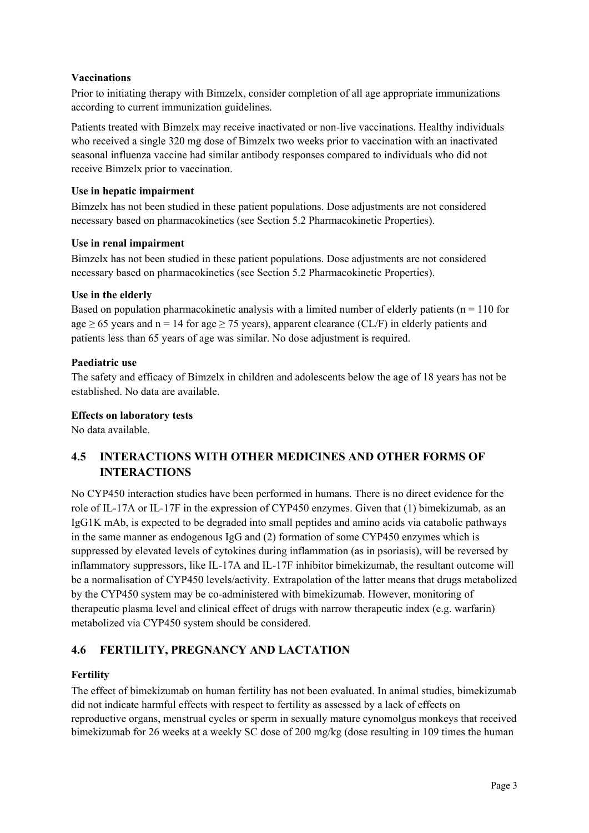## **Vaccinations**

Prior to initiating therapy with Bimzelx, consider completion of all age appropriate immunizations according to current immunization guidelines.

Patients treated with Bimzelx may receive inactivated or non-live vaccinations. Healthy individuals who received a single 320 mg dose of Bimzelx two weeks prior to vaccination with an inactivated seasonal influenza vaccine had similar antibody responses compared to individuals who did not receive Bimzelx prior to vaccination.

## **Use in hepatic impairment**

Bimzelx has not been studied in these patient populations. Dose adjustments are not considered necessary based on pharmacokinetics (see Section 5.2 Pharmacokinetic Properties).

## **Use in renal impairment**

Bimzelx has not been studied in these patient populations. Dose adjustments are not considered necessary based on pharmacokinetics (see Section 5.2 Pharmacokinetic Properties).

## **Use in the elderly**

Based on population pharmacokinetic analysis with a limited number of elderly patients ( $n = 110$  for age  $\geq$  65 years and n = 14 for age  $\geq$  75 years), apparent clearance (CL/F) in elderly patients and patients less than 65 years of age was similar. No dose adjustment is required.

## **Paediatric use**

The safety and efficacy of Bimzelx in children and adolescents below the age of 18 years has not be established. No data are available.

## **Effects on laboratory tests**

No data available.

# **4.5 INTERACTIONS WITH OTHER MEDICINES AND OTHER FORMS OF INTERACTIONS**

No CYP450 interaction studies have been performed in humans. There is no direct evidence for the role of IL-17A or IL-17F in the expression of CYP450 enzymes. Given that (1) bimekizumab, as an IgG1K mAb, is expected to be degraded into small peptides and amino acids via catabolic pathways in the same manner as endogenous IgG and (2) formation of some CYP450 enzymes which is suppressed by elevated levels of cytokines during inflammation (as in psoriasis), will be reversed by inflammatory suppressors, like IL-17A and IL-17F inhibitor bimekizumab, the resultant outcome will be a normalisation of CYP450 levels/activity. Extrapolation of the latter means that drugs metabolized by the CYP450 system may be co-administered with bimekizumab. However, monitoring of therapeutic plasma level and clinical effect of drugs with narrow therapeutic index (e.g. warfarin) metabolized via CYP450 system should be considered.

# **4.6 FERTILITY, PREGNANCY AND LACTATION**

# **Fertility**

The effect of bimekizumab on human fertility has not been evaluated. In animal studies, bimekizumab did not indicate harmful effects with respect to fertility as assessed by a lack of effects on reproductive organs, menstrual cycles or sperm in sexually mature cynomolgus monkeys that received bimekizumab for 26 weeks at a weekly SC dose of 200 mg/kg (dose resulting in 109 times the human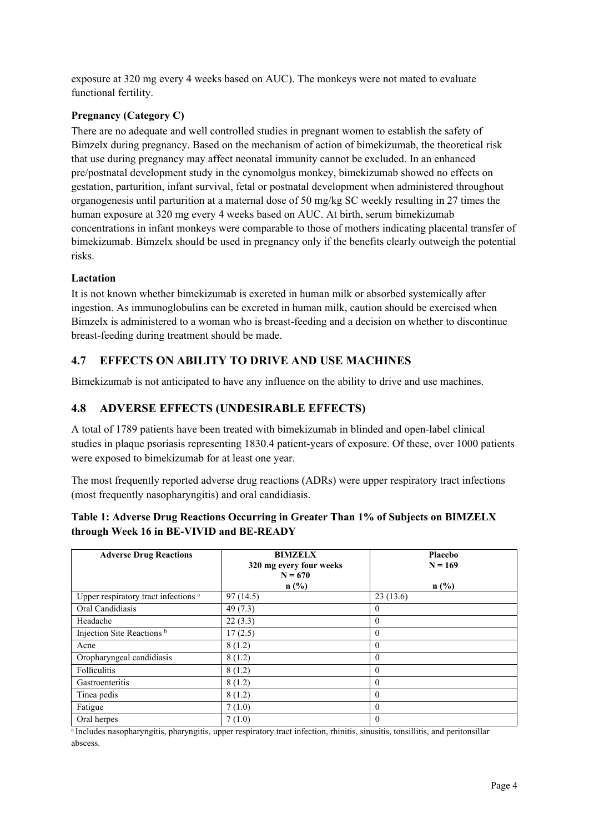exposure at 320 mg every 4 weeks based on AUC). The monkeys were not mated to evaluate functional fertility.

## **Pregnancy (Category C)**

There are no adequate and well controlled studies in pregnant women to establish the safety of Bimzelx during pregnancy. Based on the mechanism of action of bimekizumab, the theoretical risk that use during pregnancy may affect neonatal immunity cannot be excluded. In an enhanced pre/postnatal development study in the cynomolgus monkey, bimekizumab showed no effects on gestation, parturition, infant survival, fetal or postnatal development when administered throughout organogenesis until parturition at a maternal dose of 50 mg/kg SC weekly resulting in 27 times the human exposure at 320 mg every 4 weeks based on AUC. At birth, serum bimekizumab concentrations in infant monkeys were comparable to those of mothers indicating placental transfer of bimekizumab. Bimzelx should be used in pregnancy only if the benefits clearly outweigh the potential risks.

## **Lactation**

It is not known whether bimekizumab is excreted in human milk or absorbed systemically after ingestion. As immunoglobulins can be excreted in human milk, caution should be exercised when Bimzelx is administered to a woman who is breast-feeding and a decision on whether to discontinue breast-feeding during treatment should be made.

# **4.7 EFFECTS ON ABILITY TO DRIVE AND USE MACHINES**

Bimekizumab is not anticipated to have any influence on the ability to drive and use machines.

# **4.8 ADVERSE EFFECTS (UNDESIRABLE EFFECTS)**

A total of 1789 patients have been treated with bimekizumab in blinded and open-label clinical studies in plaque psoriasis representing 1830.4 patient-years of exposure. Of these, over 1000 patients were exposed to bimekizumab for at least one year.

The most frequently reported adverse drug reactions (ADRs) were upper respiratory tract infections (most frequently nasopharyngitis) and oral candidiasis.

| <b>Adverse Drug Reactions</b>                   | <b>BIMZELX</b><br>320 mg every four weeks<br>$N = 670$<br>n(%) | Placebo<br>$N = 169$<br>n(%) |
|-------------------------------------------------|----------------------------------------------------------------|------------------------------|
| Upper respiratory tract infections <sup>a</sup> | 97(14.5)                                                       | 23(13.6)                     |
| Oral Candidiasis                                | 49(7.3)                                                        | $\Omega$                     |
| Headache                                        | 22(3.3)                                                        | $\theta$                     |
| Injection Site Reactions <sup>b</sup>           | 17(2.5)                                                        | $\theta$                     |
| Acne                                            | 8(1.2)                                                         | $\theta$                     |
| Oropharyngeal candidiasis                       | 8(1.2)                                                         | $\theta$                     |
| <b>Folliculitis</b>                             | 8(1.2)                                                         | $\theta$                     |
| Gastroenteritis                                 | 8(1.2)                                                         | $\Omega$                     |
| Tinea pedis                                     | 8(1.2)                                                         | $\theta$                     |
| Fatigue                                         | 7(1.0)                                                         | $\theta$                     |
| Oral herpes                                     | 7(1.0)                                                         | $\theta$                     |

## **Table 1: Adverse Drug Reactions Occurring in Greater Than 1% of Subjects on BIMZELX through Week 16 in BE-VIVID and BE-READY**

<sup>a</sup> Includes nasopharyngitis, pharyngitis, upper respiratory tract infection, rhinitis, sinusitis, tonsillitis, and peritonsillar abscess.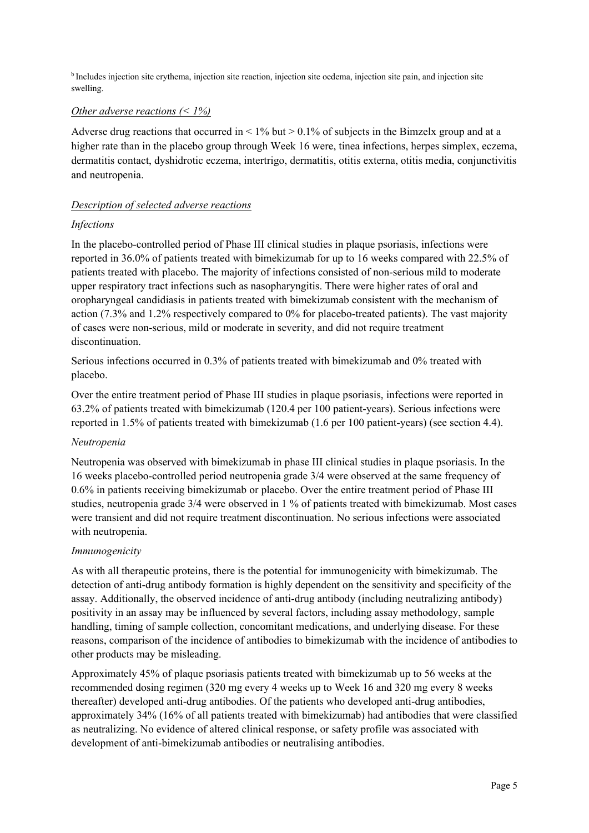b Includes injection site erythema, injection site reaction, injection site oedema, injection site pain, and injection site swelling.

#### *Other adverse reactions (< 1%)*

Adverse drug reactions that occurred in  $\leq 1\%$  but  $\geq 0.1\%$  of subjects in the Bimzelx group and at a higher rate than in the placebo group through Week 16 were, tinea infections, herpes simplex, eczema, dermatitis contact, dyshidrotic eczema, intertrigo, dermatitis, otitis externa, otitis media, conjunctivitis and neutropenia.

#### *Description of selected adverse reactions*

#### *Infections*

In the placebo-controlled period of Phase III clinical studies in plaque psoriasis, infections were reported in 36.0% of patients treated with bimekizumab for up to 16 weeks compared with 22.5% of patients treated with placebo. The majority of infections consisted of non-serious mild to moderate upper respiratory tract infections such as nasopharyngitis. There were higher rates of oral and oropharyngeal candidiasis in patients treated with bimekizumab consistent with the mechanism of action (7.3% and 1.2% respectively compared to 0% for placebo-treated patients). The vast majority of cases were non-serious, mild or moderate in severity, and did not require treatment discontinuation.

Serious infections occurred in 0.3% of patients treated with bimekizumab and 0% treated with placebo.

Over the entire treatment period of Phase III studies in plaque psoriasis, infections were reported in 63.2% of patients treated with bimekizumab (120.4 per 100 patient-years). Serious infections were reported in 1.5% of patients treated with bimekizumab (1.6 per 100 patient-years) (see section 4.4).

#### *Neutropenia*

Neutropenia was observed with bimekizumab in phase III clinical studies in plaque psoriasis. In the 16 weeks placebo-controlled period neutropenia grade 3/4 were observed at the same frequency of 0.6% in patients receiving bimekizumab or placebo. Over the entire treatment period of Phase III studies, neutropenia grade 3/4 were observed in 1 % of patients treated with bimekizumab. Most cases were transient and did not require treatment discontinuation. No serious infections were associated with neutropenia.

#### *Immunogenicity*

As with all therapeutic proteins, there is the potential for immunogenicity with bimekizumab. The detection of anti-drug antibody formation is highly dependent on the sensitivity and specificity of the assay. Additionally, the observed incidence of anti-drug antibody (including neutralizing antibody) positivity in an assay may be influenced by several factors, including assay methodology, sample handling, timing of sample collection, concomitant medications, and underlying disease. For these reasons, comparison of the incidence of antibodies to bimekizumab with the incidence of antibodies to other products may be misleading.

Approximately 45% of plaque psoriasis patients treated with bimekizumab up to 56 weeks at the recommended dosing regimen (320 mg every 4 weeks up to Week 16 and 320 mg every 8 weeks thereafter) developed anti-drug antibodies. Of the patients who developed anti-drug antibodies, approximately 34% (16% of all patients treated with bimekizumab) had antibodies that were classified as neutralizing. No evidence of altered clinical response, or safety profile was associated with development of anti-bimekizumab antibodies or neutralising antibodies.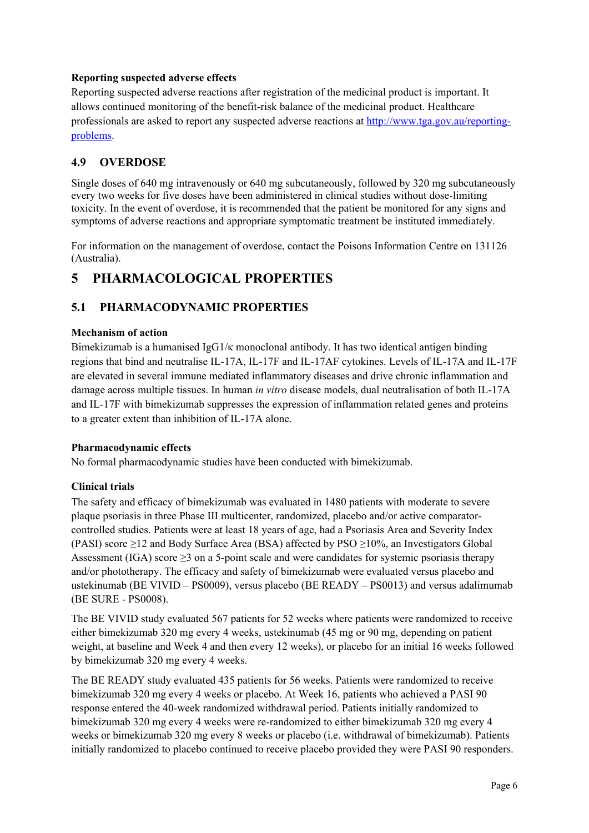#### **Reporting suspected adverse effects**

Reporting suspected adverse reactions after registration of the medicinal product is important. It allows continued monitoring of the benefit-risk balance of the medicinal product. Healthcare professionals are asked to report any suspected adverse reactions at http://www.tga.gov.au/reportingproblems.

## **4.9 OVERDOSE**

Single doses of 640 mg intravenously or 640 mg subcutaneously, followed by 320 mg subcutaneously every two weeks for five doses have been administered in clinical studies without dose-limiting toxicity. In the event of overdose, it is recommended that the patient be monitored for any signs and symptoms of adverse reactions and appropriate symptomatic treatment be instituted immediately.

For information on the management of overdose, contact the Poisons Information Centre on 131126 (Australia).

# **5 PHARMACOLOGICAL PROPERTIES**

# **5.1 PHARMACODYNAMIC PROPERTIES**

#### **Mechanism of action**

Bimekizumab is a humanised IgG1/κ monoclonal antibody. It has two identical antigen binding regions that bind and neutralise IL-17A, IL-17F and IL-17AF cytokines. Levels of IL-17A and IL-17F are elevated in several immune mediated inflammatory diseases and drive chronic inflammation and damage across multiple tissues. In human *in vitro* disease models, dual neutralisation of both IL-17A and IL-17F with bimekizumab suppresses the expression of inflammation related genes and proteins to a greater extent than inhibition of IL-17A alone.

#### **Pharmacodynamic effects**

No formal pharmacodynamic studies have been conducted with bimekizumab.

## **Clinical trials**

The safety and efficacy of bimekizumab was evaluated in 1480 patients with moderate to severe plaque psoriasis in three Phase III multicenter, randomized, placebo and/or active comparatorcontrolled studies. Patients were at least 18 years of age, had a Psoriasis Area and Severity Index (PASI) score  $\geq$ 12 and Body Surface Area (BSA) affected by PSO  $\geq$ 10%, an Investigators Global Assessment (IGA) score  $\geq$ 3 on a 5-point scale and were candidates for systemic psoriasis therapy and/or phototherapy. The efficacy and safety of bimekizumab were evaluated versus placebo and ustekinumab (BE VIVID – PS0009), versus placebo (BE READY – PS0013) and versus adalimumab (BE SURE - PS0008).

The BE VIVID study evaluated 567 patients for 52 weeks where patients were randomized to receive either bimekizumab 320 mg every 4 weeks, ustekinumab (45 mg or 90 mg, depending on patient weight, at baseline and Week 4 and then every 12 weeks), or placebo for an initial 16 weeks followed by bimekizumab 320 mg every 4 weeks.

The BE READY study evaluated 435 patients for 56 weeks. Patients were randomized to receive bimekizumab 320 mg every 4 weeks or placebo. At Week 16, patients who achieved a PASI 90 response entered the 40-week randomized withdrawal period. Patients initially randomized to bimekizumab 320 mg every 4 weeks were re-randomized to either bimekizumab 320 mg every 4 weeks or bimekizumab 320 mg every 8 weeks or placebo (i.e. withdrawal of bimekizumab). Patients initially randomized to placebo continued to receive placebo provided they were PASI 90 responders.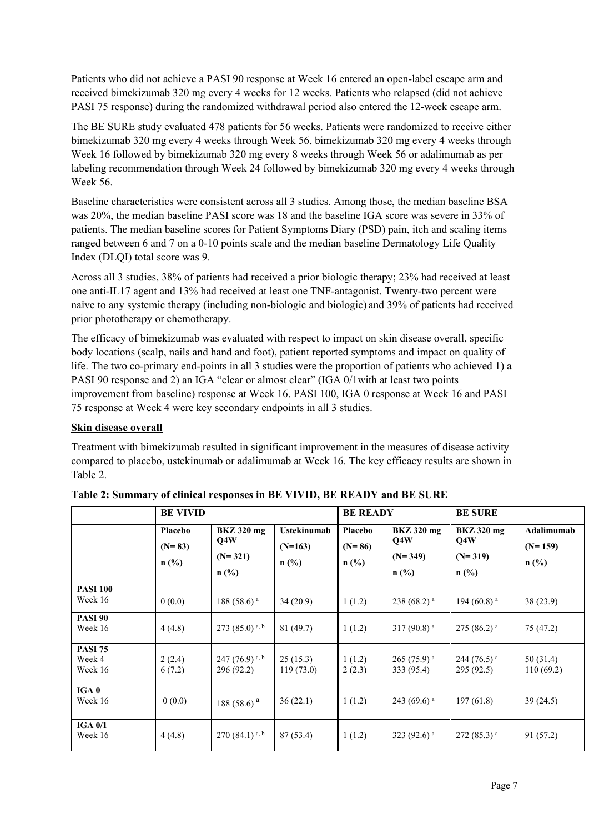Patients who did not achieve a PASI 90 response at Week 16 entered an open-label escape arm and received bimekizumab 320 mg every 4 weeks for 12 weeks. Patients who relapsed (did not achieve PASI 75 response) during the randomized withdrawal period also entered the 12-week escape arm.

The BE SURE study evaluated 478 patients for 56 weeks. Patients were randomized to receive either bimekizumab 320 mg every 4 weeks through Week 56, bimekizumab 320 mg every 4 weeks through Week 16 followed by bimekizumab 320 mg every 8 weeks through Week 56 or adalimumab as per labeling recommendation through Week 24 followed by bimekizumab 320 mg every 4 weeks through Week 56.

Baseline characteristics were consistent across all 3 studies. Among those, the median baseline BSA was 20%, the median baseline PASI score was 18 and the baseline IGA score was severe in 33% of patients. The median baseline scores for Patient Symptoms Diary (PSD) pain, itch and scaling items ranged between 6 and 7 on a 0-10 points scale and the median baseline Dermatology Life Quality Index (DLQI) total score was 9.

Across all 3 studies, 38% of patients had received a prior biologic therapy; 23% had received at least one anti-IL17 agent and 13% had received at least one TNF-antagonist. Twenty-two percent were naïve to any systemic therapy (including non-biologic and biologic) and 39% of patients had received prior phototherapy or chemotherapy.

The efficacy of bimekizumab was evaluated with respect to impact on skin disease overall, specific body locations (scalp, nails and hand and foot), patient reported symptoms and impact on quality of life. The two co-primary end-points in all 3 studies were the proportion of patients who achieved 1) a PASI 90 response and 2) an IGA "clear or almost clear" (IGA 0/1with at least two points improvement from baseline) response at Week 16. PASI 100, IGA 0 response at Week 16 and PASI 75 response at Week 4 were key secondary endpoints in all 3 studies.

#### **Skin disease overall**

Treatment with bimekizumab resulted in significant improvement in the measures of disease activity compared to placebo, ustekinumab or adalimumab at Week 16. The key efficacy results are shown in Table 2.

|                                     | <b>BE VIVID</b>                |                                                  |                                            | <b>BE READY</b>                |                                                  | <b>BE SURE</b>                                   |                                    |
|-------------------------------------|--------------------------------|--------------------------------------------------|--------------------------------------------|--------------------------------|--------------------------------------------------|--------------------------------------------------|------------------------------------|
|                                     | Placebo<br>$(N=83)$<br>$n$ (%) | <b>BKZ</b> 320 mg<br>Q4W<br>$(N=321)$<br>$n$ (%) | <b>Ustekinumab</b><br>$(N=163)$<br>$n$ (%) | Placebo<br>$(N=86)$<br>$n$ (%) | <b>BKZ</b> 320 mg<br>Q4W<br>$(N=349)$<br>$n$ (%) | <b>BKZ</b> 320 mg<br>Q4W<br>$(N=319)$<br>$n$ (%) | Adalimumab<br>$(N=159)$<br>$n$ (%) |
| <b>PASI 100</b><br>Week 16          | 0(0.0)                         | 188 (58.6) $a$                                   | 34(20.9)                                   | 1(1.2)                         | 238 (68.2) <sup>a</sup>                          | 194 (60.8) $^{\rm a}$                            | 38(23.9)                           |
| <b>PASI 90</b><br>Week 16           | 4(4.8)                         | 273 (85.0) a, b                                  | 81(49.7)                                   | 1(1.2)                         | $317(90.8)^{a}$                                  | $275(86.2)^{a}$                                  | 75 (47.2)                          |
| <b>PASI 75</b><br>Week 4<br>Week 16 | 2(2.4)<br>6(7.2)               | 247 (76.9) a, b<br>296 (92.2)                    | 25(15.3)<br>119(73.0)                      | 1(1.2)<br>2(2.3)               | $265(75.9)^{a}$<br>333 (95.4)                    | $244(76.5)$ <sup>a</sup><br>295 (92.5)           | 50 (31.4)<br>110(69.2)             |
| IGA <sub>0</sub><br>Week 16         | 0(0.0)                         | 188 (58.6) <sup>a</sup>                          | 36(22.1)                                   | 1(1.2)                         | 243 (69.6) $^{\rm a}$                            | 197(61.8)                                        | 39(24.5)                           |
| <b>IGA 0/1</b><br>Week 16           | 4(4.8)                         | $270(84.1)^{a,b}$                                | 87 (53.4)                                  | 1(1.2)                         | 323 (92.6) $a$                                   | $272(85.3)^{a}$                                  | 91 (57.2)                          |

|  | Table 2: Summary of clinical responses in BE VIVID, BE READY and BE SURE |
|--|--------------------------------------------------------------------------|
|--|--------------------------------------------------------------------------|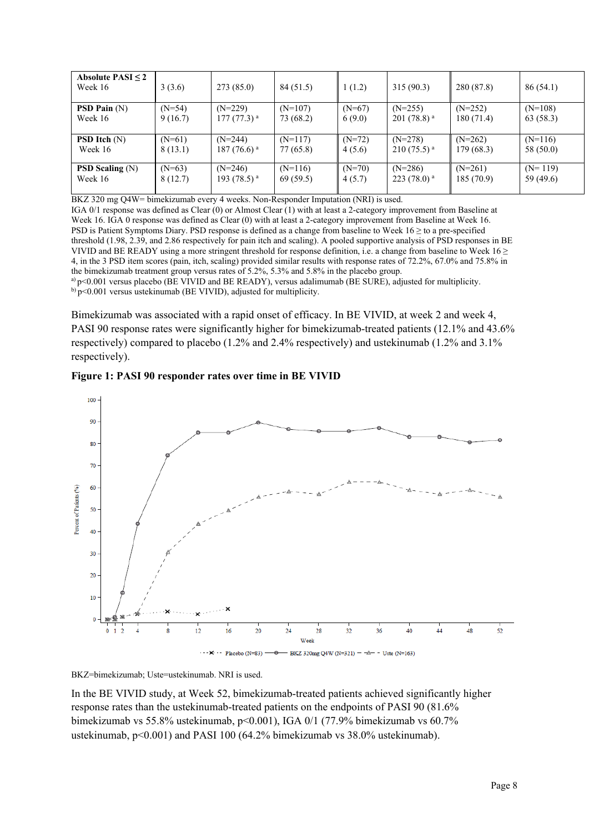| Absolute PASI $\leq 2$<br>Week 16   | 3(3.6)   | 273(85.0)       | 84 (51.5) | 1(1.2)   | 315(90.3)                | 280 (87.8) | 86(54.1)  |
|-------------------------------------|----------|-----------------|-----------|----------|--------------------------|------------|-----------|
| <b>PSD Pain</b> $(N)$               | $(N=54)$ | $(N=229)$       | $(N=107)$ | $(N=67)$ | $(N=255)$                | $(N=252)$  | $(N=108)$ |
| Week 16                             | 9(16.7)  | $177(77.3)^{a}$ | 73 (68.2) | 6(9.0)   | $201(78.8)^{a}$          | 180(71.4)  | 63 (58.3) |
| <b>PSD Itch</b> $(N)$               | $(N=61)$ | $(N=244)$       | $(N=117)$ | $(N=72)$ | $(N=278)$                | $(N=262)$  | $(N=116)$ |
| Week 16                             | 8(13.1)  | 187 $(76.6)^a$  | 77 (65.8) | 4(5.6)   | $210(75.5)$ <sup>a</sup> | 179(68.3)  | 58 (50.0) |
| <b>PSD Scaling <math>(N)</math></b> | $(N=63)$ | $(N=246)$       | $(N=116)$ | $(N=70)$ | $(N=286)$                | $(N=261)$  | $(N=119)$ |
| Week 16                             | 8(12.7)  | 193 $(78.5)^a$  | 69 (59.5) | 4(5.7)   | $223(78.0)^{a}$          | 185(70.9)  | 59 (49.6) |

BKZ 320 mg Q4W= bimekizumab every 4 weeks. Non-Responder Imputation (NRI) is used.

IGA 0/1 response was defined as Clear (0) or Almost Clear (1) with at least a 2-category improvement from Baseline at Week 16. IGA 0 response was defined as Clear (0) with at least a 2-category improvement from Baseline at Week 16. PSD is Patient Symptoms Diary. PSD response is defined as a change from baseline to Week 16 ≥ to a pre-specified threshold (1.98, 2.39, and 2.86 respectively for pain itch and scaling). A pooled supportive analysis of PSD responses in BE VIVID and BE READY using a more stringent threshold for response definition, i.e. a change from baseline to Week  $16 \ge$ 4, in the 3 PSD item scores (pain, itch, scaling) provided similar results with response rates of 72.2%, 67.0% and 75.8% in the bimekizumab treatment group versus rates of 5.2%, 5.3% and 5.8% in the placebo group. a) p<0.001 versus placebo (BE VIVID and BE READY), versus adalimumab (BE SURE), adjusted for multiplicity.

b) p<0.001 versus ustekinumab (BE VIVID), adjusted for multiplicity.

Bimekizumab was associated with a rapid onset of efficacy. In BE VIVID, at week 2 and week 4, PASI 90 response rates were significantly higher for bimekizumab-treated patients (12.1% and 43.6% respectively) compared to placebo (1.2% and 2.4% respectively) and ustekinumab (1.2% and 3.1% respectively).





BKZ=bimekizumab; Uste=ustekinumab. NRI is used.

In the BE VIVID study, at Week 52, bimekizumab-treated patients achieved significantly higher response rates than the ustekinumab-treated patients on the endpoints of PASI 90 (81.6% bimekizumab vs 55.8% ustekinumab, p<0.001), IGA 0/1 (77.9% bimekizumab vs 60.7% ustekinumab, p<0.001) and PASI 100 (64.2% bimekizumab vs 38.0% ustekinumab).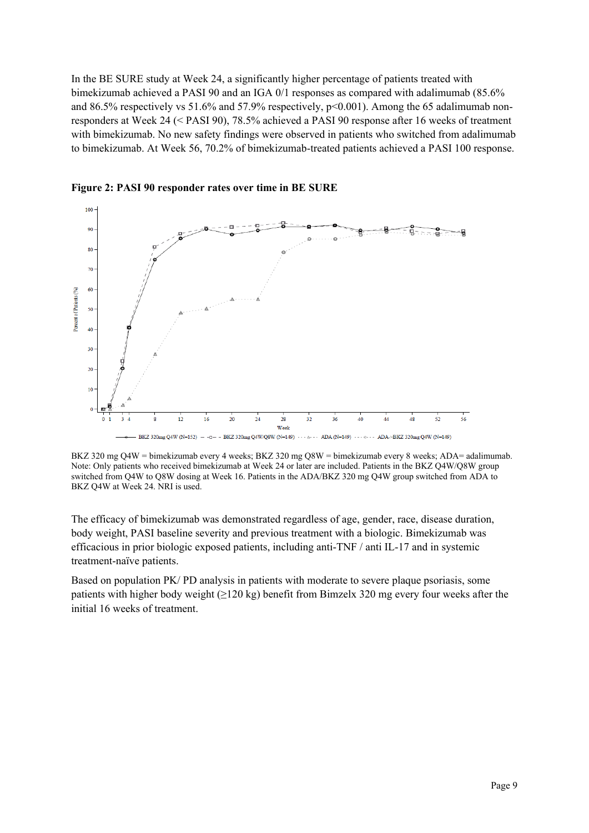In the BE SURE study at Week 24, a significantly higher percentage of patients treated with bimekizumab achieved a PASI 90 and an IGA 0/1 responses as compared with adalimumab (85.6% and 86.5% respectively vs 51.6% and 57.9% respectively, p<0.001). Among the 65 adalimumab nonresponders at Week 24 (< PASI 90), 78.5% achieved a PASI 90 response after 16 weeks of treatment with bimekizumab. No new safety findings were observed in patients who switched from adalimumab to bimekizumab. At Week 56, 70.2% of bimekizumab-treated patients achieved a PASI 100 response.



**Figure 2: PASI 90 responder rates over time in BE SURE** 

BKZ 320 mg Q4W = bimekizumab every 4 weeks; BKZ 320 mg Q8W = bimekizumab every 8 weeks; ADA= adalimumab. Note: Only patients who received bimekizumab at Week 24 or later are included. Patients in the BKZ Q4W/Q8W group switched from Q4W to Q8W dosing at Week 16. Patients in the ADA/BKZ 320 mg Q4W group switched from ADA to BKZ Q4W at Week 24. NRI is used.

The efficacy of bimekizumab was demonstrated regardless of age, gender, race, disease duration, body weight, PASI baseline severity and previous treatment with a biologic. Bimekizumab was efficacious in prior biologic exposed patients, including anti-TNF / anti IL-17 and in systemic treatment-naïve patients.

Based on population PK/ PD analysis in patients with moderate to severe plaque psoriasis, some patients with higher body weight ( $\geq$ 120 kg) benefit from Bimzelx 320 mg every four weeks after the initial 16 weeks of treatment.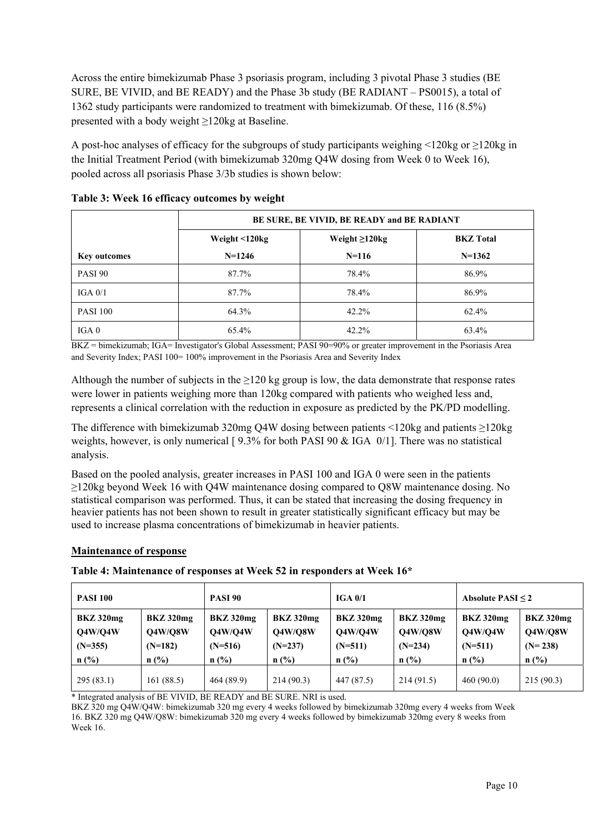Across the entire bimekizumab Phase 3 psoriasis program, including 3 pivotal Phase 3 studies (BE SURE, BE VIVID, and BE READY) and the Phase 3b study (BE RADIANT – PS0015), a total of 1362 study participants were randomized to treatment with bimekizumab. Of these, 116 (8.5%) presented with a body weight ≥120kg at Baseline.

A post-hoc analyses of efficacy for the subgroups of study participants weighing <120kg or ≥120kg in the Initial Treatment Period (with bimekizumab 320mg Q4W dosing from Week 0 to Week 16), pooled across all psoriasis Phase 3/3b studies is shown below:

|                     | BE SURE, BE VIVID, BE READY and BE RADIANT |                        |                  |  |  |  |  |
|---------------------|--------------------------------------------|------------------------|------------------|--|--|--|--|
|                     | Weight <120kg                              | Weight $\geq$ 120 $kg$ | <b>BKZ</b> Total |  |  |  |  |
| <b>Key outcomes</b> | $N=1246$                                   | $N=116$                | $N=1362$         |  |  |  |  |
| PASI 90             | 87.7%                                      | 78.4%                  | 86.9%            |  |  |  |  |
| IGA $0/1$           | 87.7%                                      | 78.4%                  | 86.9%            |  |  |  |  |
| <b>PASI 100</b>     | 64.3%                                      | 42.2%                  | 62.4%            |  |  |  |  |
| IGA <sub>0</sub>    | 65.4%                                      | 42.2%                  | 63.4%            |  |  |  |  |

**Table 3: Week 16 efficacy outcomes by weight** 

BKZ = bimekizumab; IGA= Investigator's Global Assessment; PASI 90=90% or greater improvement in the Psoriasis Area and Severity Index; PASI 100= 100% improvement in the Psoriasis Area and Severity Index

Although the number of subjects in the  $\geq 120$  kg group is low, the data demonstrate that response rates were lower in patients weighing more than 120kg compared with patients who weighed less and, represents a clinical correlation with the reduction in exposure as predicted by the PK/PD modelling.

The difference with bimekizumab 320mg Q4W dosing between patients <120kg and patients ≥120kg weights, however, is only numerical [ 9.3% for both PASI 90 & IGA 0/1]. There was no statistical analysis.

Based on the pooled analysis, greater increases in PASI 100 and IGA 0 were seen in the patients ≥120kg beyond Week 16 with Q4W maintenance dosing compared to Q8W maintenance dosing. No statistical comparison was performed. Thus, it can be stated that increasing the dosing frequency in heavier patients has not been shown to result in greater statistically significant efficacy but may be used to increase plasma concentrations of bimekizumab in heavier patients.

## **Maintenance of response**

#### **Table 4: Maintenance of responses at Week 52 in responders at Week 16\***

| <b>PASI 90</b><br><b>PASI 100</b>                          |                                                     | IGA 0/1                                             |                                                     | Absolute $PASI < 2$                                        |                                                     |                                                     |                                                     |
|------------------------------------------------------------|-----------------------------------------------------|-----------------------------------------------------|-----------------------------------------------------|------------------------------------------------------------|-----------------------------------------------------|-----------------------------------------------------|-----------------------------------------------------|
| <b>BKZ</b> 320mg<br><b>O4W/O4W</b><br>$(N=355)$<br>$n$ (%) | BKZ 320mg<br><b>O4W/O8W</b><br>$(N=182)$<br>$n$ (%) | <b>BKZ</b> 320mg<br>Q4W/Q4W<br>$(N=516)$<br>$n$ (%) | BKZ 320mg<br><b>O4W/O8W</b><br>$(N=237)$<br>$n$ (%) | <b>BKZ</b> 320mg<br><b>O4W/O4W</b><br>$(N=511)$<br>$n$ (%) | BKZ 320mg<br><b>O4W/O8W</b><br>$(N=234)$<br>$n$ (%) | BKZ 320mg<br><b>O4W/O4W</b><br>$(N=511)$<br>$n$ (%) | BKZ 320mg<br><b>O4W/O8W</b><br>$(N=238)$<br>$n$ (%) |
| 295(83.1)                                                  | 161(88.5)                                           | 464 (89.9)                                          | 214(90.3)                                           | 447 (87.5)                                                 | 214 (91.5)                                          | 460(90.0)                                           | 215(90.3)                                           |

\* Integrated analysis of BE VIVID, BE READY and BE SURE. NRI is used.

BKZ 320 mg Q4W/Q4W: bimekizumab 320 mg every 4 weeks followed by bimekizumab 320mg every 4 weeks from Week 16. BKZ 320 mg Q4W/Q8W: bimekizumab 320 mg every 4 weeks followed by bimekizumab 320mg every 8 weeks from Week 16.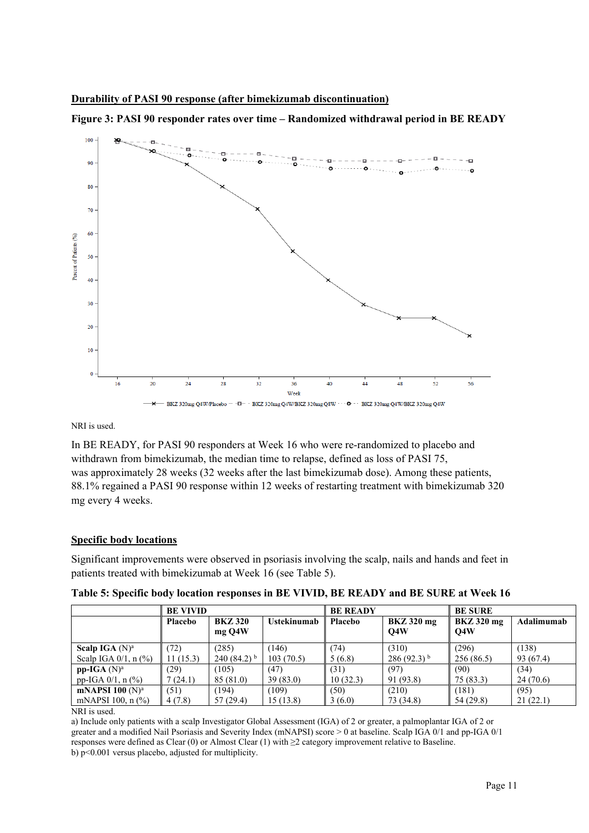



NRI is used.

In BE READY, for PASI 90 responders at Week 16 who were re-randomized to placebo and withdrawn from bimekizumab, the median time to relapse, defined as loss of PASI 75, was approximately 28 weeks (32 weeks after the last bimekizumab dose). Among these patients, 88.1% regained a PASI 90 response within 12 weeks of restarting treatment with bimekizumab 320 mg every 4 weeks.

#### **Specific body locations**

Significant improvements were observed in psoriasis involving the scalp, nails and hands and feet in patients treated with bimekizumab at Week 16 (see Table 5).

|                            | <b>BE VIVID</b> |                          |             | <b>BE READY</b> |                          | <b>BE SURE</b>                  |            |
|----------------------------|-----------------|--------------------------|-------------|-----------------|--------------------------|---------------------------------|------------|
|                            | <b>Placebo</b>  | <b>BKZ 320</b><br>mg Q4W | Ustekinumab | Placebo         | <b>BKZ</b> 320 mg<br>O4W | <b>BKZ</b> 320 mg<br><b>O4W</b> | Adalimumab |
| Scalp IGA $(N)^a$          | (72)            | (285)                    | (146)       | (74)            | (310)                    | (296)                           | (138)      |
| Scalp IGA $0/1$ , n $(\%)$ | 11(15.3)        | 240 (84.2) $^{\rm b}$    | 103(70.5)   | 5(6.8)          | $286(92.3)^{b}$          | 256(86.5)                       | 93 (67.4)  |
| $pp-IGA(N)^a$              | 29)             | (105)                    | (47)        | (31)            | (97)                     | (90)                            | (34)       |
| pp-IGA $0/1$ , n $(\%)$    | (24.1)          | 85(81.0)                 | 39(83.0)    | 10(32.3)        | 91 (93.8)                | 75 (83.3)                       | 24(70.6)   |
| mNAPSI 100 $(N)^a$         | (51)            | (194)                    | (109)       | (50)            | (210)                    | (181)                           | (95)       |
| mNAPSI 100, $n$ (%)        | 4(7.8)          | 57(29.4)                 | 15 (13.8)   | 3(6.0)          | 73 (34.8)                | 54 (29.8)                       | 21(22.1)   |

**Table 5: Specific body location responses in BE VIVID, BE READY and BE SURE at Week 16** 

NRI is used.

a) Include only patients with a scalp Investigator Global Assessment (IGA) of 2 or greater, a palmoplantar IGA of 2 or greater and a modified Nail Psoriasis and Severity Index (mNAPSI) score > 0 at baseline. Scalp IGA 0/1 and pp-IGA 0/1 responses were defined as Clear (0) or Almost Clear (1) with  $\geq$ 2 category improvement relative to Baseline. b) p<0.001 versus placebo, adjusted for multiplicity.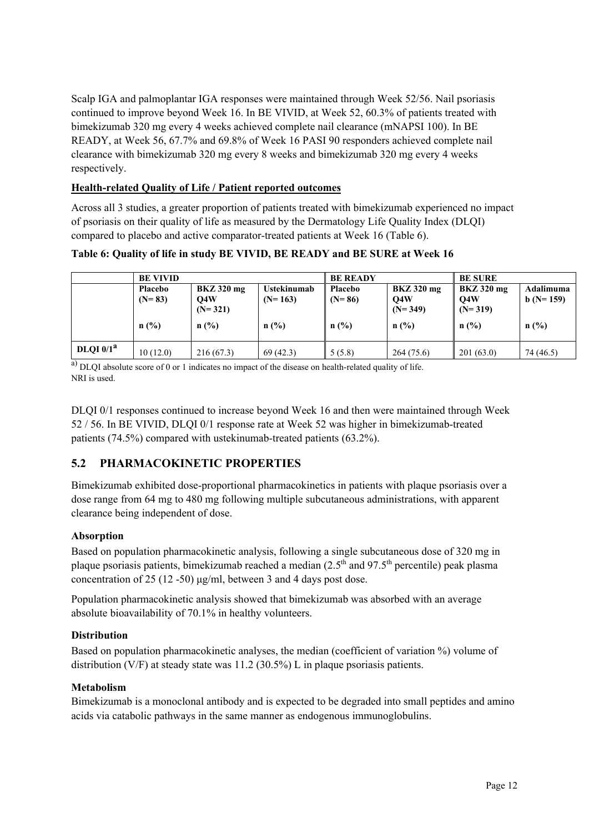Scalp IGA and palmoplantar IGA responses were maintained through Week 52/56. Nail psoriasis continued to improve beyond Week 16. In BE VIVID, at Week 52, 60.3% of patients treated with bimekizumab 320 mg every 4 weeks achieved complete nail clearance (mNAPSI 100). In BE READY, at Week 56, 67.7% and 69.8% of Week 16 PASI 90 responders achieved complete nail clearance with bimekizumab 320 mg every 8 weeks and bimekizumab 320 mg every 4 weeks respectively.

## **Health-related Quality of Life / Patient reported outcomes**

Across all 3 studies, a greater proportion of patients treated with bimekizumab experienced no impact of psoriasis on their quality of life as measured by the Dermatology Life Quality Index (DLQI) compared to placebo and active comparator-treated patients at Week 16 (Table 6).

## **Table 6: Quality of life in study BE VIVID, BE READY and BE SURE at Week 16**

|             | <b>BE VIVID</b>     |                                       | <b>BE READY</b>                 |                            | <b>BE SURE</b>                        |                                       |                         |
|-------------|---------------------|---------------------------------------|---------------------------------|----------------------------|---------------------------------------|---------------------------------------|-------------------------|
|             | Placebo<br>$(N=83)$ | <b>BKZ</b> 320 mg<br>O4W<br>$(N=321)$ | <b>Ustekinumab</b><br>$(N=163)$ | <b>Placebo</b><br>$(N=86)$ | <b>BKZ</b> 320 mg<br>Q4W<br>$(N=349)$ | <b>BKZ</b> 320 mg<br>Q4W<br>$(N=319)$ | Adalimuma<br>$b(N=159)$ |
|             | n(%)                | n(%)                                  | n(%)                            | n(%)                       | n(%)                                  | n(%)                                  | $n$ (%)                 |
| DLQI $0/1a$ | 10(12.0)            | 216(67.3)                             | 69(42.3)                        | 5(5.8)                     | 264 (75.6)                            | 201(63.0)                             | 74 (46.5)               |

a) DLOI absolute score of 0 or 1 indicates no impact of the disease on health-related quality of life. NRI is used.

DLQI 0/1 responses continued to increase beyond Week 16 and then were maintained through Week 52 / 56. In BE VIVID, DLQI 0/1 response rate at Week 52 was higher in bimekizumab-treated patients (74.5%) compared with ustekinumab-treated patients (63.2%).

# **5.2 PHARMACOKINETIC PROPERTIES**

Bimekizumab exhibited dose-proportional pharmacokinetics in patients with plaque psoriasis over a dose range from 64 mg to 480 mg following multiple subcutaneous administrations, with apparent clearance being independent of dose.

## **Absorption**

Based on population pharmacokinetic analysis, following a single subcutaneous dose of 320 mg in plaque psoriasis patients, bimekizumab reached a median  $(2.5<sup>th</sup>$  and  $97.5<sup>th</sup>$  percentile) peak plasma concentration of 25 (12 -50) μg/ml, between 3 and 4 days post dose.

Population pharmacokinetic analysis showed that bimekizumab was absorbed with an average absolute bioavailability of 70.1% in healthy volunteers.

## **Distribution**

Based on population pharmacokinetic analyses, the median (coefficient of variation %) volume of distribution (V/F) at steady state was 11.2 (30.5%) L in plaque psoriasis patients.

## **Metabolism**

Bimekizumab is a monoclonal antibody and is expected to be degraded into small peptides and amino acids via catabolic pathways in the same manner as endogenous immunoglobulins.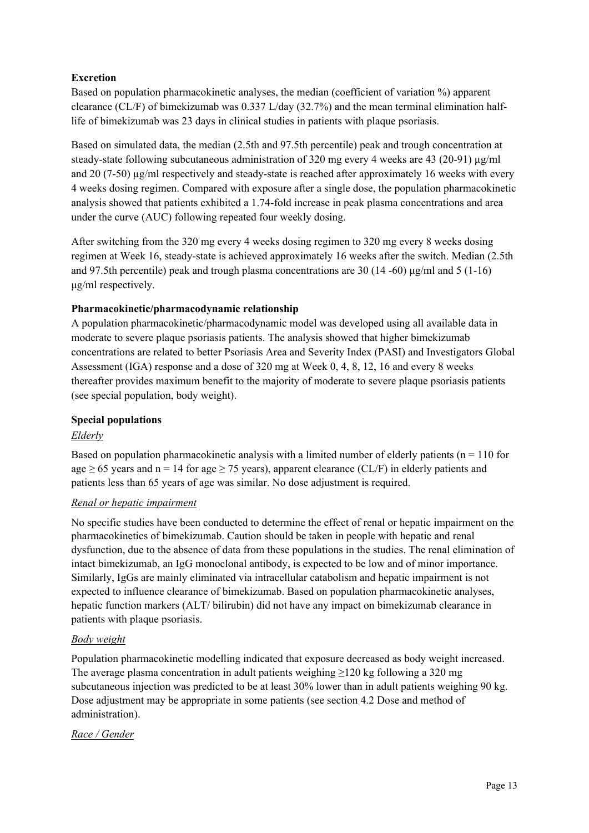## **Excretion**

Based on population pharmacokinetic analyses, the median (coefficient of variation %) apparent clearance (CL/F) of bimekizumab was 0.337 L/day (32.7%) and the mean terminal elimination halflife of bimekizumab was 23 days in clinical studies in patients with plaque psoriasis.

Based on simulated data, the median (2.5th and 97.5th percentile) peak and trough concentration at steady-state following subcutaneous administration of 320 mg every 4 weeks are 43 (20-91)  $\mu$ g/ml and 20 (7-50)  $\mu$ g/ml respectively and steady-state is reached after approximately 16 weeks with every 4 weeks dosing regimen. Compared with exposure after a single dose, the population pharmacokinetic analysis showed that patients exhibited a 1.74-fold increase in peak plasma concentrations and area under the curve (AUC) following repeated four weekly dosing.

After switching from the 320 mg every 4 weeks dosing regimen to 320 mg every 8 weeks dosing regimen at Week 16, steady-state is achieved approximately 16 weeks after the switch. Median (2.5th and 97.5th percentile) peak and trough plasma concentrations are 30 (14 -60) μg/ml and 5 (1-16) μg/ml respectively.

## **Pharmacokinetic/pharmacodynamic relationship**

A population pharmacokinetic/pharmacodynamic model was developed using all available data in moderate to severe plaque psoriasis patients. The analysis showed that higher bimekizumab concentrations are related to better Psoriasis Area and Severity Index (PASI) and Investigators Global Assessment (IGA) response and a dose of 320 mg at Week 0, 4, 8, 12, 16 and every 8 weeks thereafter provides maximum benefit to the majority of moderate to severe plaque psoriasis patients (see special population, body weight).

## **Special populations**

## *Elderly*

Based on population pharmacokinetic analysis with a limited number of elderly patients ( $n = 110$  for age  $\geq$  65 years and n = 14 for age  $\geq$  75 years), apparent clearance (CL/F) in elderly patients and patients less than 65 years of age was similar. No dose adjustment is required.

## *Renal or hepatic impairment*

No specific studies have been conducted to determine the effect of renal or hepatic impairment on the pharmacokinetics of bimekizumab. Caution should be taken in people with hepatic and renal dysfunction, due to the absence of data from these populations in the studies. The renal elimination of intact bimekizumab, an IgG monoclonal antibody, is expected to be low and of minor importance. Similarly, IgGs are mainly eliminated via intracellular catabolism and hepatic impairment is not expected to influence clearance of bimekizumab. Based on population pharmacokinetic analyses, hepatic function markers (ALT/ bilirubin) did not have any impact on bimekizumab clearance in patients with plaque psoriasis.

## *Body weight*

Population pharmacokinetic modelling indicated that exposure decreased as body weight increased. The average plasma concentration in adult patients weighing ≥120 kg following a 320 mg subcutaneous injection was predicted to be at least 30% lower than in adult patients weighing 90 kg. Dose adjustment may be appropriate in some patients (see section 4.2 Dose and method of administration).

## *Race / Gender*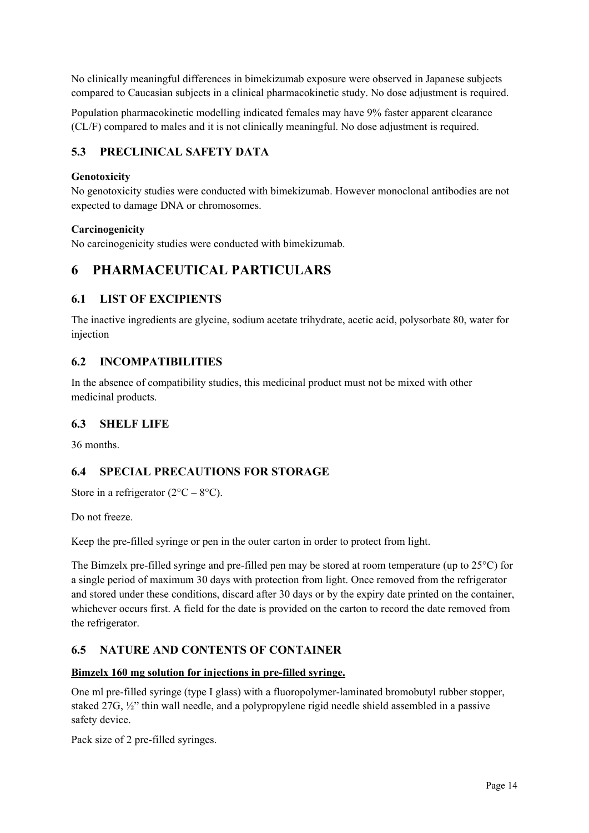No clinically meaningful differences in bimekizumab exposure were observed in Japanese subjects compared to Caucasian subjects in a clinical pharmacokinetic study. No dose adjustment is required.

Population pharmacokinetic modelling indicated females may have 9% faster apparent clearance (CL/F) compared to males and it is not clinically meaningful. No dose adjustment is required.

# **5.3 PRECLINICAL SAFETY DATA**

#### **Genotoxicity**

No genotoxicity studies were conducted with bimekizumab. However monoclonal antibodies are not expected to damage DNA or chromosomes.

#### **Carcinogenicity**

No carcinogenicity studies were conducted with bimekizumab.

# **6 PHARMACEUTICAL PARTICULARS**

## **6.1 LIST OF EXCIPIENTS**

The inactive ingredients are glycine, sodium acetate trihydrate, acetic acid, polysorbate 80, water for injection

## **6.2 INCOMPATIBILITIES**

In the absence of compatibility studies, this medicinal product must not be mixed with other medicinal products.

## **6.3 SHELF LIFE**

36 months.

# **6.4 SPECIAL PRECAUTIONS FOR STORAGE**

Store in a refrigerator  $(2^{\circ}C - 8^{\circ}C)$ .

Do not freeze.

Keep the pre-filled syringe or pen in the outer carton in order to protect from light.

The Bimzelx pre-filled syringe and pre-filled pen may be stored at room temperature (up to 25°C) for a single period of maximum 30 days with protection from light. Once removed from the refrigerator and stored under these conditions, discard after 30 days or by the expiry date printed on the container, whichever occurs first. A field for the date is provided on the carton to record the date removed from the refrigerator.

# **6.5 NATURE AND CONTENTS OF CONTAINER**

#### **Bimzelx 160 mg solution for injections in pre-filled syringe.**

One ml pre-filled syringe (type I glass) with a fluoropolymer-laminated bromobutyl rubber stopper, staked 27G, ½" thin wall needle, and a polypropylene rigid needle shield assembled in a passive safety device.

Pack size of 2 pre-filled syringes.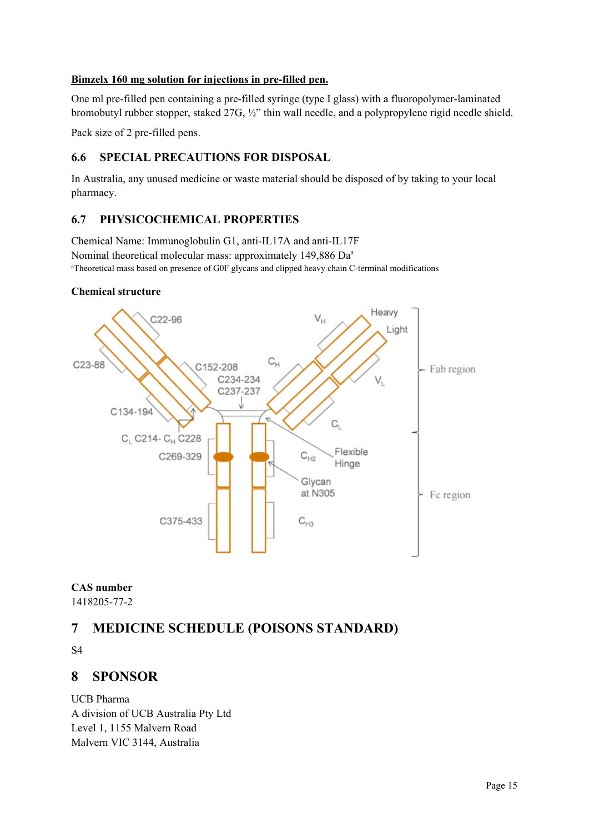#### **Bimzelx 160 mg solution for injections in pre-filled pen.**

One ml pre-filled pen containing a pre-filled syringe (type I glass) with a fluoropolymer-laminated bromobutyl rubber stopper, staked 27G, ½" thin wall needle, and a polypropylene rigid needle shield.

Pack size of 2 pre-filled pens.

# **6.6 SPECIAL PRECAUTIONS FOR DISPOSAL**

In Australia, any unused medicine or waste material should be disposed of by taking to your local pharmacy.

# **6.7 PHYSICOCHEMICAL PROPERTIES**

Chemical Name: Immunoglobulin G1, anti-IL17A and anti-IL17F Nominal theoretical molecular mass: approximately 149,886 Da<sup>a</sup> a Theoretical mass based on presence of G0F glycans and clipped heavy chain C-terminal modifications

#### **Chemical structure**



**CAS number** 

1418205-77-2

# **7 MEDICINE SCHEDULE (POISONS STANDARD)**

S4

# **8 SPONSOR**

UCB Pharma A division of UCB Australia Pty Ltd Level 1, 1155 Malvern Road Malvern VIC 3144, Australia